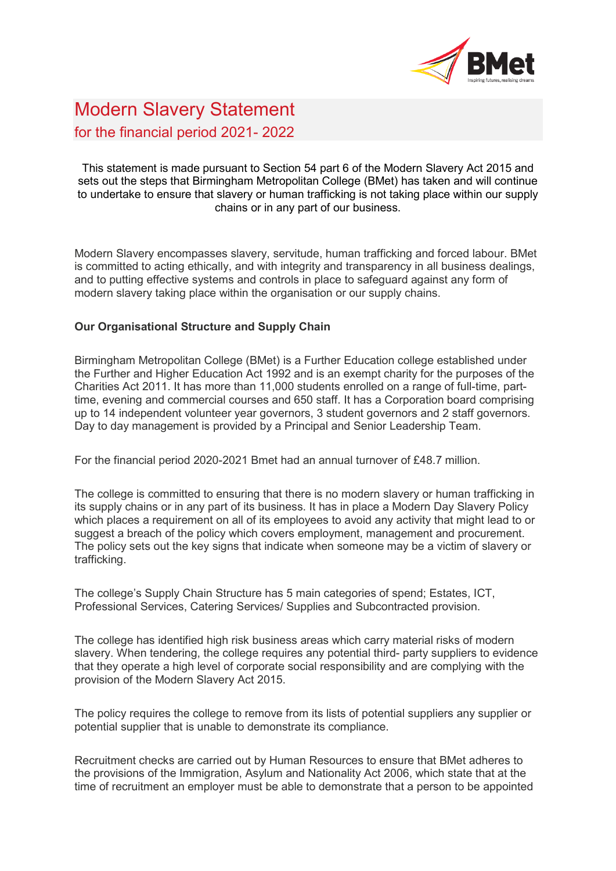

## Modern Slavery Statement for the financial period 2021- 2022

This statement is made pursuant to Section 54 part 6 of the Modern Slavery Act 2015 and sets out the steps that Birmingham Metropolitan College (BMet) has taken and will continue to undertake to ensure that slavery or human trafficking is not taking place within our supply chains or in any part of our business.

Modern Slavery encompasses slavery, servitude, human trafficking and forced labour. BMet is committed to acting ethically, and with integrity and transparency in all business dealings, and to putting effective systems and controls in place to safeguard against any form of modern slavery taking place within the organisation or our supply chains.

## **Our Organisational Structure and Supply Chain**

Birmingham Metropolitan College (BMet) is a Further Education college established under the Further and Higher Education Act 1992 and is an exempt charity for the purposes of the Charities Act 2011. It has more than 11,000 students enrolled on a range of full-time, parttime, evening and commercial courses and 650 staff. It has a Corporation board comprising up to 14 independent volunteer year governors, 3 student governors and 2 staff governors. Day to day management is provided by a Principal and Senior Leadership Team.

For the financial period 2020-2021 Bmet had an annual turnover of £48.7 million.

The college is committed to ensuring that there is no modern slavery or human trafficking in its supply chains or in any part of its business. It has in place a Modern Day Slavery Policy which places a requirement on all of its employees to avoid any activity that might lead to or suggest a breach of the policy which covers employment, management and procurement. The policy sets out the key signs that indicate when someone may be a victim of slavery or trafficking.

The college's Supply Chain Structure has 5 main categories of spend; Estates, ICT, Professional Services, Catering Services/ Supplies and Subcontracted provision.

The college has identified high risk business areas which carry material risks of modern slavery. When tendering, the college requires any potential third- party suppliers to evidence that they operate a high level of corporate social responsibility and are complying with the provision of the Modern Slavery Act 2015.

The policy requires the college to remove from its lists of potential suppliers any supplier or potential supplier that is unable to demonstrate its compliance.

Recruitment checks are carried out by Human Resources to ensure that BMet adheres to the provisions of the Immigration, Asylum and Nationality Act 2006, which state that at the time of recruitment an employer must be able to demonstrate that a person to be appointed